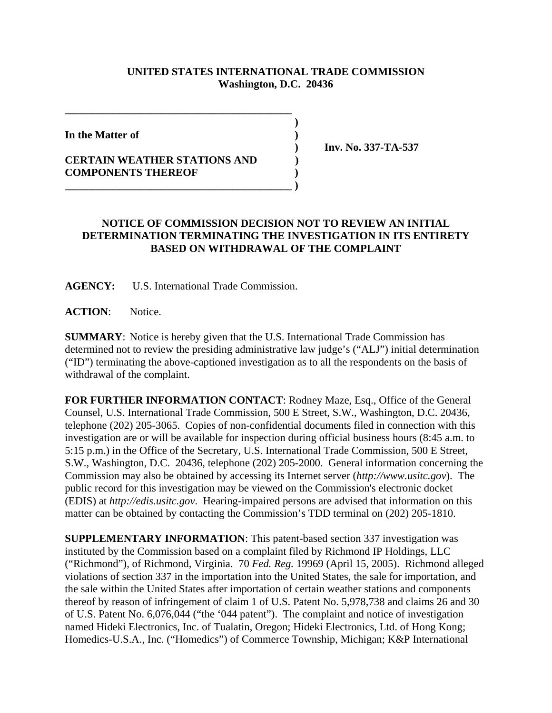## **UNITED STATES INTERNATIONAL TRADE COMMISSION Washington, D.C. 20436**

 **)**

**In the Matter of )**

## **CERTAIN WEATHER STATIONS AND ) COMPONENTS THEREOF )**

**\_\_\_\_\_\_\_\_\_\_\_\_\_\_\_\_\_\_\_\_\_\_\_\_\_\_\_\_\_\_\_\_\_\_\_\_\_\_\_\_\_\_**

**\_\_\_\_\_\_\_\_\_\_\_\_\_\_\_\_\_\_\_\_\_\_\_\_\_\_\_\_\_\_\_\_\_\_\_\_\_\_\_\_\_\_ )**

 **) Inv. No. 337-TA-537**

## **NOTICE OF COMMISSION DECISION NOT TO REVIEW AN INITIAL DETERMINATION TERMINATING THE INVESTIGATION IN ITS ENTIRETY BASED ON WITHDRAWAL OF THE COMPLAINT**

**AGENCY:** U.S. International Trade Commission.

**ACTION**: Notice.

**SUMMARY**: Notice is hereby given that the U.S. International Trade Commission has determined not to review the presiding administrative law judge's ("ALJ") initial determination ("ID") terminating the above-captioned investigation as to all the respondents on the basis of withdrawal of the complaint.

**FOR FURTHER INFORMATION CONTACT**: Rodney Maze, Esq., Office of the General Counsel, U.S. International Trade Commission, 500 E Street, S.W., Washington, D.C. 20436, telephone (202) 205-3065. Copies of non-confidential documents filed in connection with this investigation are or will be available for inspection during official business hours (8:45 a.m. to 5:15 p.m.) in the Office of the Secretary, U.S. International Trade Commission, 500 E Street, S.W., Washington, D.C. 20436, telephone (202) 205-2000. General information concerning the Commission may also be obtained by accessing its Internet server (*http://www.usitc.gov*). The public record for this investigation may be viewed on the Commission's electronic docket (EDIS) at *http://edis.usitc.gov*. Hearing-impaired persons are advised that information on this matter can be obtained by contacting the Commission's TDD terminal on (202) 205-1810.

**SUPPLEMENTARY INFORMATION**: This patent-based section 337 investigation was instituted by the Commission based on a complaint filed by Richmond IP Holdings, LLC ("Richmond"), of Richmond, Virginia. 70 *Fed. Reg.* 19969 (April 15, 2005). Richmond alleged violations of section 337 in the importation into the United States, the sale for importation, and the sale within the United States after importation of certain weather stations and components thereof by reason of infringement of claim 1 of U.S. Patent No. 5,978,738 and claims 26 and 30 of U.S. Patent No. 6,076,044 ("the '044 patent"). The complaint and notice of investigation named Hideki Electronics, Inc. of Tualatin, Oregon; Hideki Electronics, Ltd. of Hong Kong; Homedics-U.S.A., Inc. ("Homedics") of Commerce Township, Michigan; K&P International